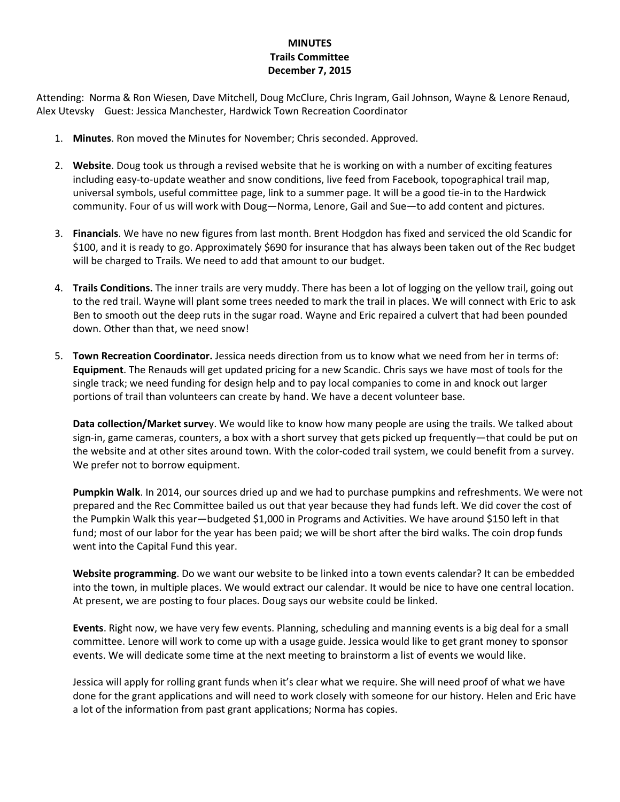## **MINUTES Trails Committee December 7, 2015**

Attending: Norma & Ron Wiesen, Dave Mitchell, Doug McClure, Chris Ingram, Gail Johnson, Wayne & Lenore Renaud, Alex Utevsky Guest: Jessica Manchester, Hardwick Town Recreation Coordinator

- 1. **Minutes**. Ron moved the Minutes for November; Chris seconded. Approved.
- 2. **Website**. Doug took us through a revised website that he is working on with a number of exciting features including easy-to-update weather and snow conditions, live feed from Facebook, topographical trail map, universal symbols, useful committee page, link to a summer page. It will be a good tie-in to the Hardwick community. Four of us will work with Doug—Norma, Lenore, Gail and Sue—to add content and pictures.
- 3. **Financials**. We have no new figures from last month. Brent Hodgdon has fixed and serviced the old Scandic for \$100, and it is ready to go. Approximately \$690 for insurance that has always been taken out of the Rec budget will be charged to Trails. We need to add that amount to our budget.
- 4. **Trails Conditions.** The inner trails are very muddy. There has been a lot of logging on the yellow trail, going out to the red trail. Wayne will plant some trees needed to mark the trail in places. We will connect with Eric to ask Ben to smooth out the deep ruts in the sugar road. Wayne and Eric repaired a culvert that had been pounded down. Other than that, we need snow!
- 5. **Town Recreation Coordinator.** Jessica needs direction from us to know what we need from her in terms of: **Equipment**. The Renauds will get updated pricing for a new Scandic. Chris says we have most of tools for the single track; we need funding for design help and to pay local companies to come in and knock out larger portions of trail than volunteers can create by hand. We have a decent volunteer base.

**Data collection/Market surve**y. We would like to know how many people are using the trails. We talked about sign-in, game cameras, counters, a box with a short survey that gets picked up frequently—that could be put on the website and at other sites around town. With the color-coded trail system, we could benefit from a survey. We prefer not to borrow equipment.

**Pumpkin Walk**. In 2014, our sources dried up and we had to purchase pumpkins and refreshments. We were not prepared and the Rec Committee bailed us out that year because they had funds left. We did cover the cost of the Pumpkin Walk this year—budgeted \$1,000 in Programs and Activities. We have around \$150 left in that fund; most of our labor for the year has been paid; we will be short after the bird walks. The coin drop funds went into the Capital Fund this year.

**Website programming**. Do we want our website to be linked into a town events calendar? It can be embedded into the town, in multiple places. We would extract our calendar. It would be nice to have one central location. At present, we are posting to four places. Doug says our website could be linked.

**Events**. Right now, we have very few events. Planning, scheduling and manning events is a big deal for a small committee. Lenore will work to come up with a usage guide. Jessica would like to get grant money to sponsor events. We will dedicate some time at the next meeting to brainstorm a list of events we would like.

Jessica will apply for rolling grant funds when it's clear what we require. She will need proof of what we have done for the grant applications and will need to work closely with someone for our history. Helen and Eric have a lot of the information from past grant applications; Norma has copies.